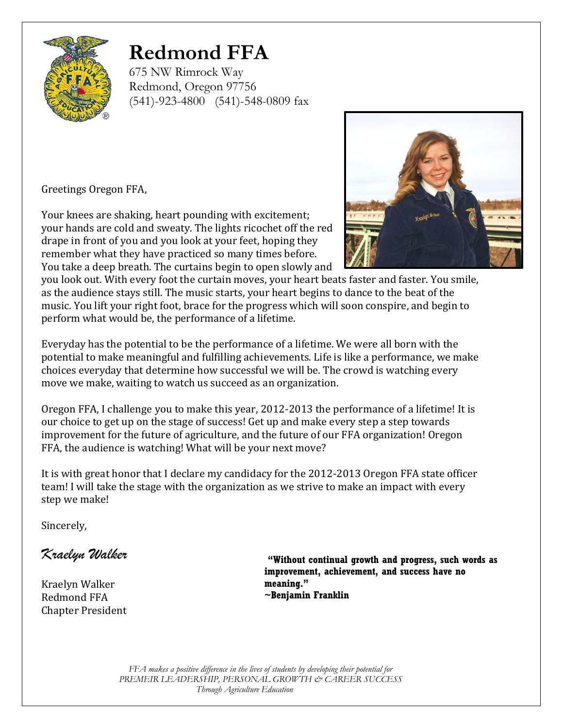

# **Redmond FFA**

675 NW Rimrock Way Redmond, Oregon 97756 (541)-923-4800 (541)-548-0809 fax

Greetings Oregon FFA,

Your knees are shaking, heart pounding with excitement; your hands are cold and sweaty. The lights ricochet off the red drape in front of you and you look at your feet, hoping they remember what they have practiced so many times before. You take a deep breath. The curtains begin to open slowly and



you look out. With every foot the curtain moves, your heart beats faster and faster. You smile, as the audience stays still. The music starts, your heart begins to dance to the beat of the music. You lift your right foot, brace for the progress which will soon conspire, and begin to perform what would be, the performance of a lifetime.

Everyday has the potential to be the performance of a lifetime. We were all born with the potential to make meaningful and fulfilling achievements. Life is like a performance, we make choices everyday that determine how successful we will be. The crowd is watching every move we make, waiting to watch us succeed as an organization.

Oregon FFA, I challenge you to make this year, 2012-2013 the performance of a lifetime! It is our choice to get up on the stage of success! Get up and make every step a step towards improvement for the future of agriculture, and the future of our FFA organization! Oregon FFA, the audience is watching! What will be your next move?

It is with great honor that I declare my candidacy for the 2012-2013 Oregon FFA state officer team! I will take the stage with the organization as we strive to make an impact with every step we make!

Sincerely,

*Kraelyn Walker*

Kraelyn Walker Redmond FFA Chapter President

**"Without continual growth and progress, such words as improvement, achievement, and success have no meaning." [~Benjamin Franklin](http://www.brainyquote.com/quotes/quotes/b/benjaminfr387287.html)**

*FFA makes a positive difference in the lives of students by developing their potential for PREMEIR LEADERSHIP, PERSONAL GROWTH & CAREER SUCCESS Through Agriculture Education*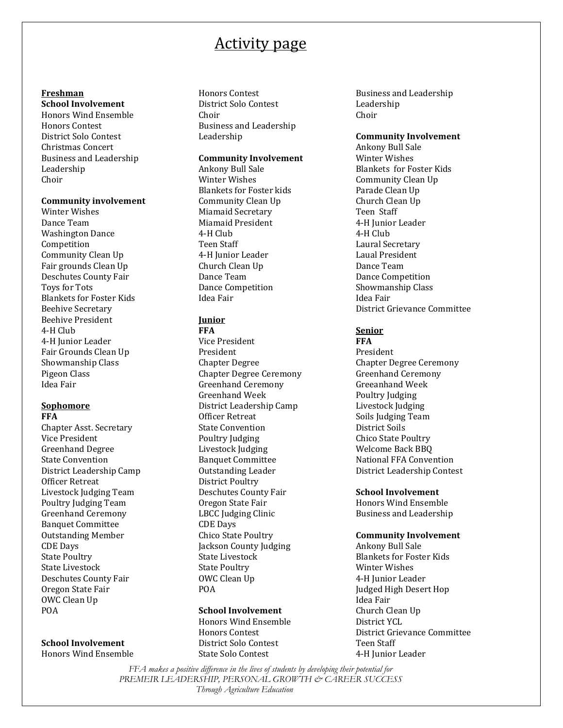## Activity page

## **Freshman**

**School Involvement** Honors Wind Ensemble Honors Contest District Solo Contest Christmas Concert Business and Leadership Leadership Choir

#### **Community involvement**

Winter Wishes Dance Team Washington Dance Competition Community Clean Up Fair grounds Clean Up Deschutes County Fair Toys for Tots Blankets for Foster Kids Beehive Secretary Beehive President 4-H Club 4-H Junior Leader Fair Grounds Clean Up Showmanship Class Pigeon Class Idea Fair

#### **Sophomore FFA**

Chapter Asst. Secretary Vice President Greenhand Degree State Convention District Leadership Camp Officer Retreat Livestock Judging Team Poultry Judging Team Greenhand Ceremony Banquet Committee Outstanding Member CDE Days State Poultry State Livestock Deschutes County Fair Oregon State Fair OWC Clean Up POA

## **School Involvement**

Honors Wind Ensemble

Honors Contest District Solo Contest Choir Business and Leadership Leadership

## **Community Involvement**

Ankony Bull Sale Winter Wishes Blankets for Foster kids Community Clean Up Miamaid Secretary Miamaid President 4-H Club Teen Staff 4-H Junior Leader Church Clean Up Dance Team Dance Competition Idea Fair

## **Junior**

**FFA** Vice President President Chapter Degree Chapter Degree Ceremony Greenhand Ceremony Greenhand Week District Leadership Camp Officer Retreat State Convention Poultry Judging Livestock Judging Banquet Committee Outstanding Leader District Poultry Deschutes County Fair Oregon State Fair LBCC Judging Clinic CDE Days Chico State Poultry Jackson County Judging State Livestock State Poultry OWC Clean Up POA

## **School Involvement**

Honors Wind Ensemble Honors Contest District Solo Contest State Solo Contest

Business and Leadership Leadership Choir

#### **Community Involvement**

Ankony Bull Sale Winter Wishes Blankets for Foster Kids Community Clean Up Parade Clean Up Church Clean Up Teen Staff 4-H Junior Leader 4-H Club Laural Secretary Laual President Dance Team Dance Competition Showmanship Class Idea Fair District Grievance Committee

## **Senior**

**FFA** President Chapter Degree Ceremony Greenhand Ceremony Greeanhand Week Poultry Judging Livestock Judging Soils Judging Team District Soils Chico State Poultry Welcome Back BBQ National FFA Convention District Leadership Contest

## **School Involvement**

Honors Wind Ensemble Business and Leadership

## **Community Involvement**

Ankony Bull Sale Blankets for Foster Kids Winter Wishes 4-H Junior Leader Judged High Desert Hop Idea Fair Church Clean Up District YCL District Grievance Committee Teen Staff 4-H Junior Leader

*FFA makes a positive difference in the lives of students by developing their potential for PREMEIR LEADERSHIP, PERSONAL GROWTH & CAREER SUCCESS Through Agriculture Education*